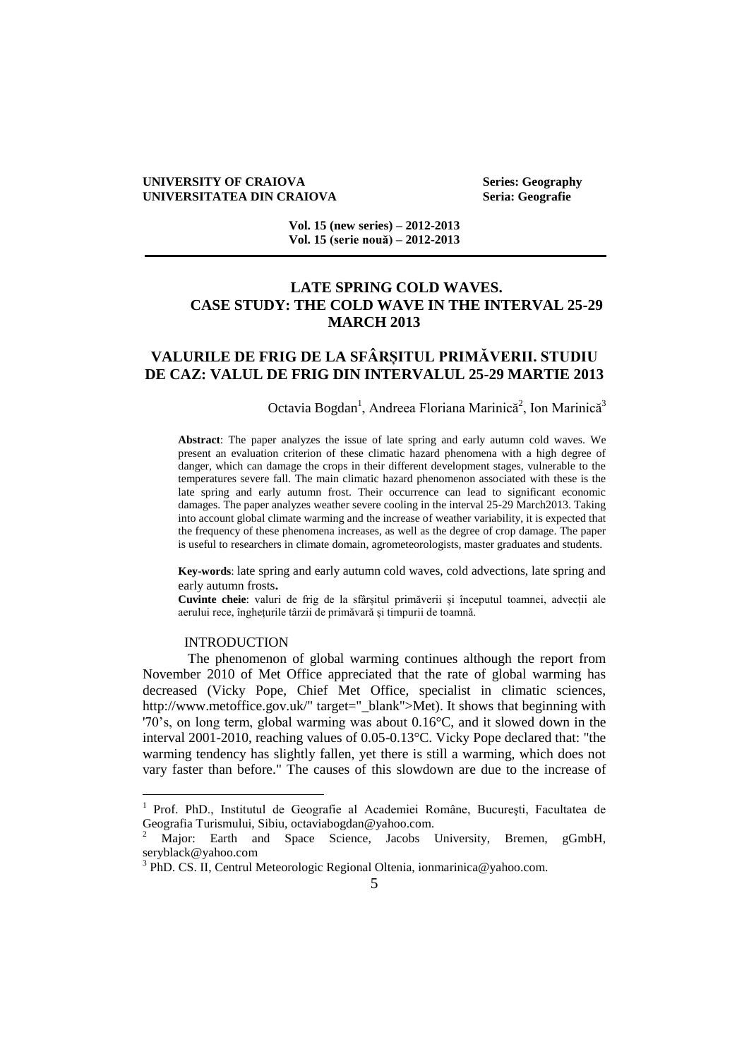#### **UNIVERSITY OF CRAIOVA Series: Geography UNIVERSITATEA DIN CRAIOVA Seria: Geografie**

**Vol. 15 (new series) – 2012-2013 Vol. 15 (serie nouă) – 2012-2013**

# **LATE SPRING COLD WAVES. CASE STUDY: THE COLD WAVE IN THE INTERVAL 25-29 MARCH 2013**

# **VALURILE DE FRIG DE LA SFÂRȘITUL PRIMĂVERII. STUDIU DE CAZ: VALUL DE FRIG DIN INTERVALUL 25-29 MARTIE 2013**

## Octavia Bogdan<sup>1</sup>, Andreea Floriana Marinică<sup>2</sup>, Ion Marinică<sup>3</sup>

**Abstract**: The paper analyzes the issue of late spring and early autumn cold waves. We present an evaluation criterion of these climatic hazard phenomena with a high degree of danger, which can damage the crops in their different development stages, vulnerable to the temperatures severe fall. The main climatic hazard phenomenon associated with these is the late spring and early autumn frost. Their occurrence can lead to significant economic damages. The paper analyzes weather severe cooling in the interval 25-29 March2013. Taking into account global climate warming and the increase of weather variability, it is expected that the frequency of these phenomena increases, as well as the degree of crop damage. The paper is useful to researchers in climate domain, agrometeorologists, master graduates and students.

**Key-words**: late spring and early autumn cold waves, cold advections, late spring and early autumn frosts**.**

**Cuvinte cheie**: valuri de frig de la sfârșitul primăverii și începutul toamnei, advecții ale aerului rece, înghețurile târzii de primăvară și timpurii de toamnă.

#### INTRODUCTION

 $\overline{a}$ 

The phenomenon of global warming continues although the report from November 2010 of Met Office appreciated that the rate of global warming has decreased (Vicky Pope, Chief Met Office, specialist in climatic sciences, http://www.metoffice.gov.uk/" target="\_blank">Met). It shows that beginning with '70's, on long term, global warming was about 0.16°C, and it slowed down in the interval 2001-2010, reaching values of 0.05-0.13°C. Vicky Pope declared that: "the warming tendency has slightly fallen, yet there is still a warming, which does not vary faster than before." The causes of this slowdown are due to the increase of

<sup>1</sup> Prof. PhD., Institutul de Geografie al Academiei Române, Bucureşti, Facultatea de Geografia Turismului, Sibiu, octaviabogdan@yahoo.com.

<sup>2</sup> Major: Earth and Space Science, Jacobs University, Bremen, gGmbH, seryblack@yahoo.com

<sup>&</sup>lt;sup>3</sup> PhD. CS. II, Centrul Meteorologic Regional Oltenia, ionmarinica@yahoo.com.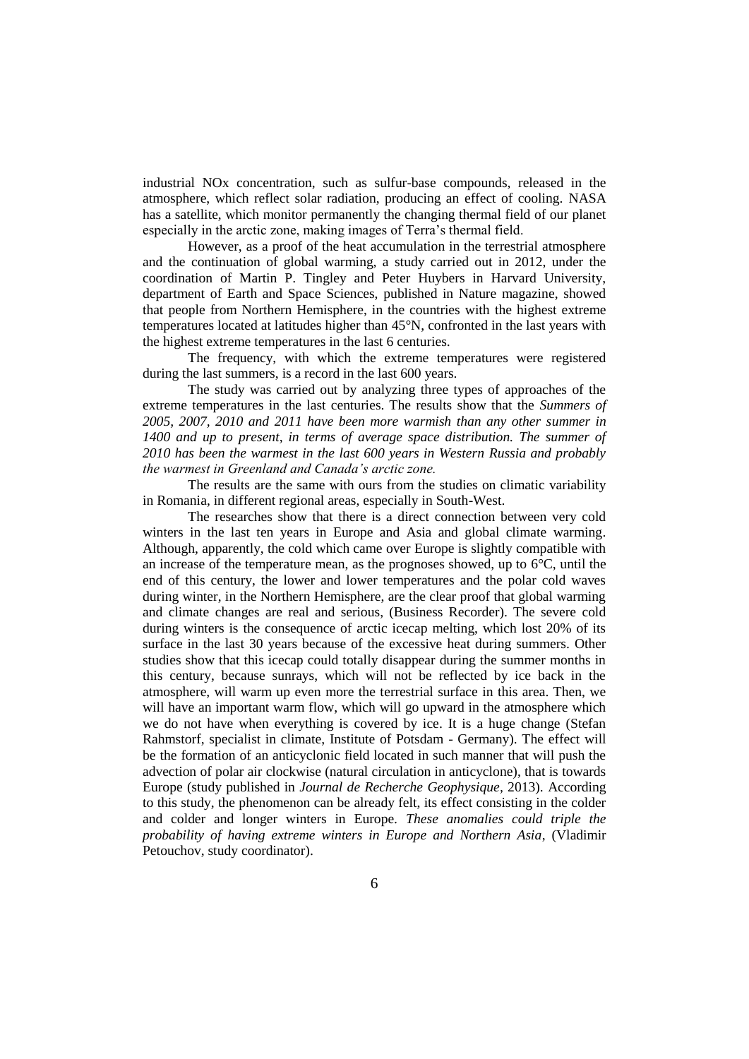industrial NOx concentration, such as sulfur-base compounds, released in the atmosphere, which reflect solar radiation, producing an effect of cooling. [NASA](http://www.ziare.com/magazin/nasa/) has a satellite, which monitor permanently the changing thermal field of our planet especially in the arctic zone, making images of Terra's thermal field.

However, as a proof of the heat accumulation in the terrestrial atmosphere and the continuation of global warming, a study carried out in 2012, under the coordination of Martin P. Tingley and Peter Huybers in Harvard University, department of Earth and Space Sciences, published in Nature magazine, showed that people from Northern Hemisphere, in the countries with the highest extreme temperatures located at latitudes higher than 45°N, confronted in the last years with the highest extreme temperatures in the last 6 centuries.

The frequency, with which the extreme temperatures were registered during the last summers, is a record in the last 600 years.

The study was carried out by analyzing three types of approaches of the extreme temperatures in the last centuries. The results show that the *Summers of 2005, 2007, 2010 and 2011 have been more warmish than any other summer in 1400 and up to present, in terms of average space distribution. The summer of 2010 has been the warmest in the last 600 years in Western Russia and probably the warmest in Greenland and Canada's arctic zone.*

The results are the same with ours from the studies on climatic variability in Romania, in different regional areas, especially in South-West.

The researches show that there is a direct connection between very cold winters in the last ten years in Europe and Asia and global climate warming. Although, apparently, the cold which came over Europe is slightly compatible with an increase of the temperature mean, as the prognoses showed, up to 6°C, until the end of this century, the lower and lower temperatures and the polar cold waves during winter, in the Northern Hemisphere, are the clear proof that global warming and climate changes are real and serious, (Business Recorder). The severe cold during winters is the consequence of arctic icecap melting, which lost 20% of its surface in the last 30 years because of the excessive heat during summers. Other studies show that this icecap could totally disappear during the summer months in this century, because sunrays, which will not be reflected by ice back in the atmosphere, will warm up even more the terrestrial surface in this area. Then, we will have an important warm flow, which will go upward in the atmosphere which we do not have when everything is covered by ice. It is a huge change (Stefan Rahmstorf, specialist in climate, Institute of Potsdam - Germany). The effect will be the formation of an anticyclonic field located in such manner that will push the advection of polar air clockwise (natural circulation in anticyclone), that is towards Europe (study published in *Journal de Recherche Geophysique,* 2013). According to this study, the phenomenon can be already felt, its effect consisting in the colder and colder and longer winters in Europe. *These anomalies could triple the probability of having extreme winters in Europe and Northern Asia*, (Vladimir Petouchov, study coordinator).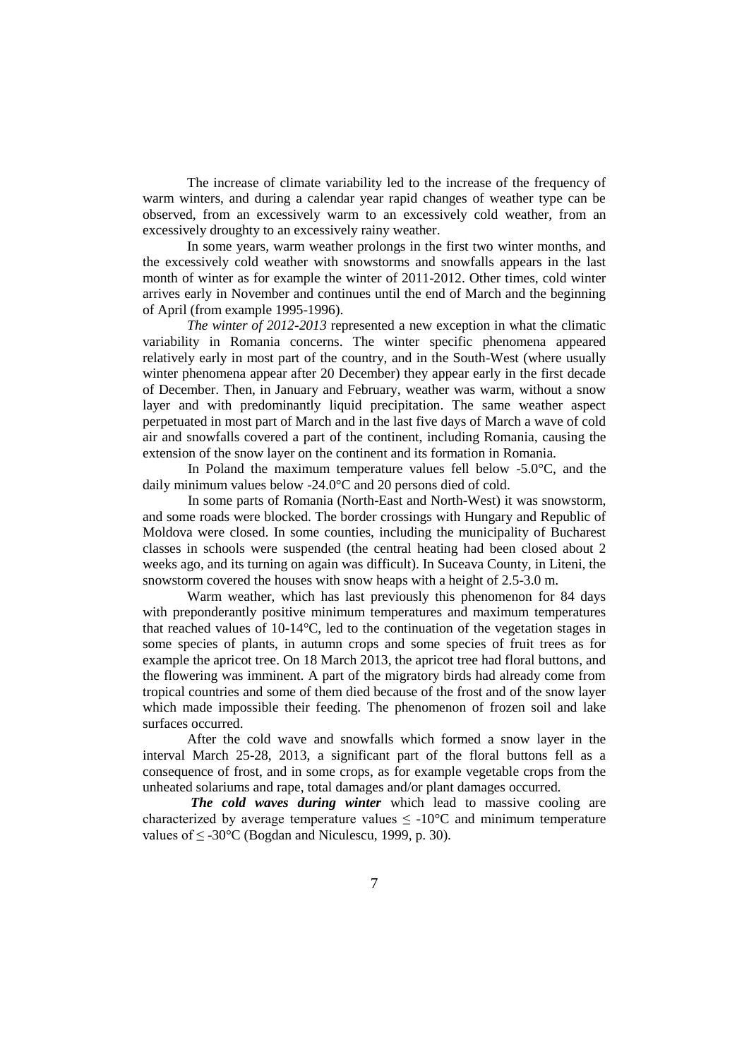The increase of climate variability led to the increase of the frequency of warm winters, and during a calendar year rapid changes of weather type can be observed, from an excessively warm to an excessively cold weather, from an excessively droughty to an excessively rainy weather.

In some years, warm weather prolongs in the first two winter months, and the excessively cold weather with snowstorms and snowfalls appears in the last month of winter as for example the winter of 2011-2012. Other times, cold winter arrives early in November and continues until the end of March and the beginning of April (from example 1995-1996).

*The winter of 2012-2013* represented a new exception in what the climatic variability in Romania concerns. The winter specific phenomena appeared relatively early in most part of the country, and in the South-West (where usually winter phenomena appear after 20 December) they appear early in the first decade of December. Then, in January and February, weather was warm, without a snow layer and with predominantly liquid precipitation. The same weather aspect perpetuated in most part of March and in the last five days of March a wave of cold air and snowfalls covered a part of the continent, including Romania, causing the extension of the snow layer on the continent and its formation in Romania.

In Poland the maximum temperature values fell below -5.0°C, and the daily minimum values below -24.0°C and 20 persons died of cold.

In some parts of Romania (North-East and North-West) it was snowstorm, and some roads were blocked. The border crossings with Hungary and Republic of Moldova were closed. In some counties, including the municipality of Bucharest classes in schools were suspended (the central heating had been closed about 2 weeks ago, and its turning on again was difficult). In Suceava County, in Liteni, the snowstorm covered the houses with snow heaps with a height of 2.5-3.0 m.

Warm weather, which has last previously this phenomenon for 84 days with preponderantly positive minimum temperatures and maximum temperatures that reached values of 10-14°C, led to the continuation of the vegetation stages in some species of plants, in autumn crops and some species of fruit trees as for example the apricot tree. On 18 March 2013, the apricot tree had floral buttons, and the flowering was imminent. A part of the migratory birds had already come from tropical countries and some of them died because of the frost and of the snow layer which made impossible their feeding. The phenomenon of frozen soil and lake surfaces occurred.

After the cold wave and snowfalls which formed a snow layer in the interval March 25-28, 2013, a significant part of the floral buttons fell as a consequence of frost, and in some crops, as for example vegetable crops from the unheated solariums and rape, total damages and/or plant damages occurred.

*The cold waves during winter* which lead to massive cooling are characterized by average temperature values  $\leq -10^{\circ}$ C and minimum temperature values of  $\leq$  -30°C (Bogdan and Niculescu, 1999, p. 30).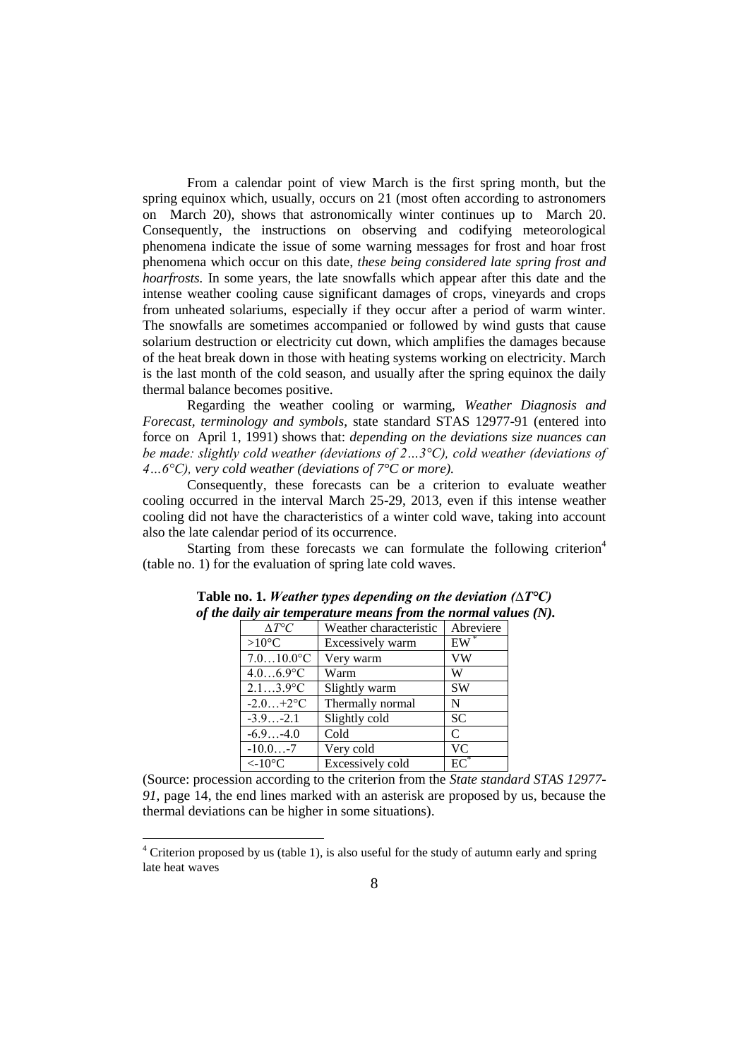From a calendar point of view March is the first spring month, but the spring equinox which, usually, occurs on 21 (most often according to astronomers on March 20), shows that astronomically winter continues up to March 20. Consequently, the instructions on observing and codifying meteorological phenomena indicate the issue of some warning messages for frost and hoar frost phenomena which occur on this date, *these being considered late spring frost and hoarfrosts.* In some years, the late snowfalls which appear after this date and the intense weather cooling cause significant damages of crops, vineyards and crops from unheated solariums, especially if they occur after a period of warm winter. The snowfalls are sometimes accompanied or followed by wind gusts that cause solarium destruction or electricity cut down, which amplifies the damages because of the heat break down in those with heating systems working on electricity. March is the last month of the cold season, and usually after the spring equinox the daily thermal balance becomes positive.

Regarding the weather cooling or warming, *Weather Diagnosis and Forecast, terminology and symbols*, state standard STAS 12977-91 (entered into force on April 1, 1991) shows that: *depending on the deviations size nuances can be made: slightly cold weather (deviations of 2…3°C), cold weather (deviations of 4…6°C), very cold weather (deviations of 7°C or more).*

Consequently, these forecasts can be a criterion to evaluate weather cooling occurred in the interval March 25-29, 2013, even if this intense weather cooling did not have the characteristics of a winter cold wave, taking into account also the late calendar period of its occurrence.

Starting from these forecasts we can formulate the following criterion<sup>4</sup> (table no. 1) for the evaluation of spring late cold waves.

| $\Delta T^{\circ}C$ | Weather characteristic | Abreviere |
|---------------------|------------------------|-----------|
| $>10^{\circ}C$      | Excessively warm       | EW        |
| $7.010.0$ °C        | Very warm              | VW        |
| $4.06.9$ °C         | Warm                   | W         |
| $2.13.9$ °C         | Slightly warm          | <b>SW</b> |
| $-2.0+2$ °C         | Thermally normal       | N         |
| $-3.9-2.1$          | Slightly cold          | <b>SC</b> |
| $-6.9-4.0$          | Cold                   | C         |
| $-10.0 -7$          | Very cold              | <b>VC</b> |
| $<10^{\circ}C$      | Excessively cold       | $EC^*$    |

**Table no. 1.** *Weather types depending on the deviation (∆T°C) of the daily air temperature means from the normal values (N).*

(Source: procession according to the criterion from the *State standard STAS 12977- 91*, page 14, the end lines marked with an asterisk are proposed by us, because the thermal deviations can be higher in some situations).

<sup>&</sup>lt;sup>4</sup> Criterion proposed by us (table 1), is also useful for the study of autumn early and spring late heat waves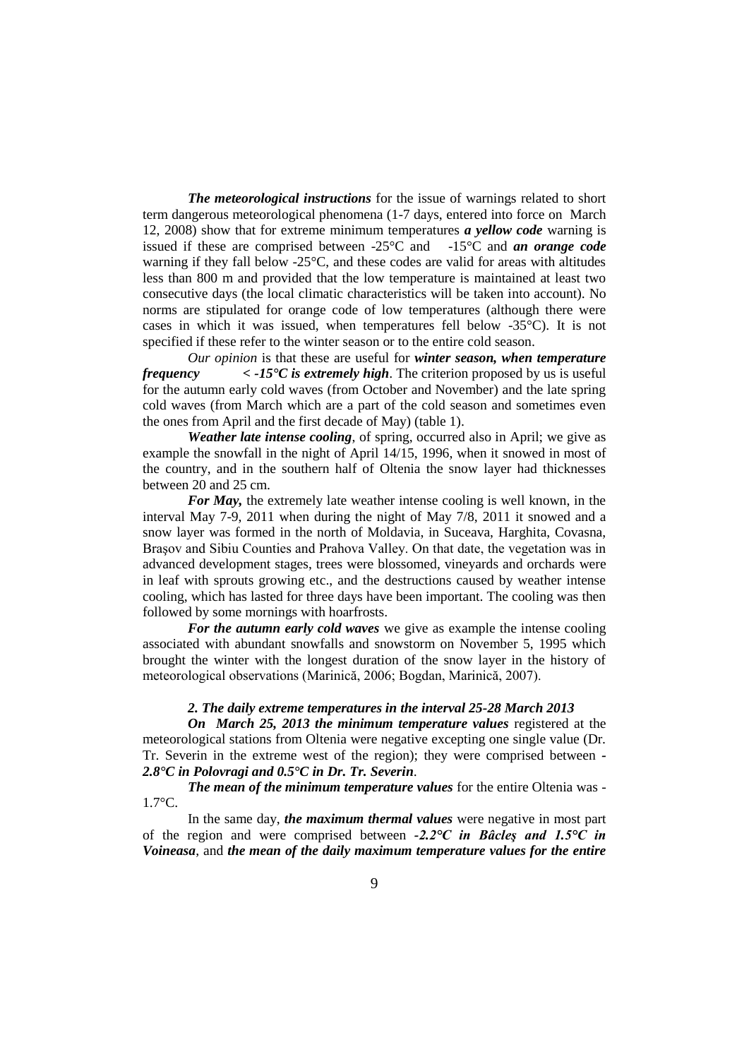*The meteorological instructions* for the issue of warnings related to short term dangerous meteorological phenomena (1-7 days, entered into force on March 12, 2008) show that for extreme minimum temperatures *a yellow code* warning is issued if these are comprised between -25°C and -15°C and *an orange code*  warning if they fall below -25°C, and these codes are valid for areas with altitudes less than 800 m and provided that the low temperature is maintained at least two consecutive days (the local climatic characteristics will be taken into account). No norms are stipulated for orange code of low temperatures (although there were cases in which it was issued, when temperatures fell below -35°C). It is not specified if these refer to the winter season or to the entire cold season.

*Our opinion* is that these are useful for *winter season, when temperature frequency < -15°C is extremely high*. The criterion proposed by us is useful for the autumn early cold waves (from October and November) and the late spring cold waves (from March which are a part of the cold season and sometimes even the ones from April and the first decade of May) (table 1).

*Weather late intense cooling*, of spring, occurred also in April; we give as example the snowfall in the night of April 14/15, 1996, when it snowed in most of the country, and in the southern half of Oltenia the snow layer had thicknesses between 20 and 25 cm.

*For May*, the extremely late weather intense cooling is well known, in the interval May 7-9, 2011 when during the night of May 7/8, 2011 it snowed and a snow layer was formed in the north of Moldavia, in Suceava, Harghita, Covasna, Braşov and Sibiu Counties and Prahova Valley. On that date, the vegetation was in advanced development stages, trees were blossomed, vineyards and orchards were in leaf with sprouts growing etc., and the destructions caused by weather intense cooling, which has lasted for three days have been important. The cooling was then followed by some mornings with hoarfrosts.

*For the autumn early cold waves* we give as example the intense cooling associated with abundant snowfalls and snowstorm on November 5, 1995 which brought the winter with the longest duration of the snow layer in the history of meteorological observations (Marinică, 2006; Bogdan, Marinică, 2007).

### *2. The daily extreme temperatures in the interval 25-28 March 2013*

*On March 25, 2013 the minimum temperature values* registered at the meteorological stations from Oltenia were negative excepting one single value (Dr. Tr. Severin in the extreme west of the region); they were comprised between *- 2.8°C in Polovragi and 0.5°C in Dr. Tr. Severin*.

*The mean of the minimum temperature values* for the entire Oltenia was -  $1.7$ °C

In the same day, *the maximum thermal values* were negative in most part of the region and were comprised between *-2.2°C in Bâcleş and 1.5°C in Voineasa*, and *the mean of the daily maximum temperature values for the entire*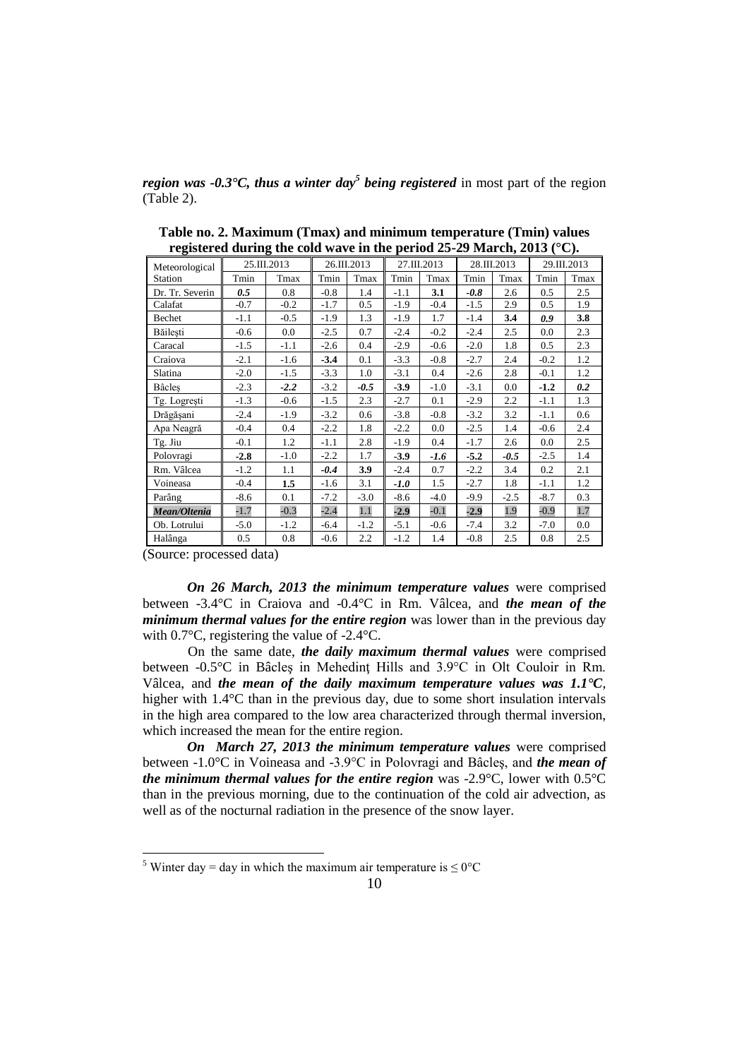*region was -0.3°C, thus a winter day<sup>5</sup> being registered* in most part of the region (Table 2).

| -9-<br>Meteorological | 25.III.2013 |        | 26.III.2013 |        | 27.III.2013 |        | 28.III.2013 |        | 29.III.2013 |      |
|-----------------------|-------------|--------|-------------|--------|-------------|--------|-------------|--------|-------------|------|
| <b>Station</b>        | Tmin        | Tmax   | Tmin        | Tmax   | Tmin        | Tmax   | Tmin        | Tmax   | Tmin        | Tmax |
| Dr. Tr. Severin       | 0.5         | 0.8    | $-0.8$      | 1.4    | $-1.1$      | 3.1    | $-0.8$      | 2.6    | 0.5         | 2.5  |
| Calafat               | $-0.7$      | $-0.2$ | $-1.7$      | 0.5    | $-1.9$      | $-0.4$ | $-1.5$      | 2.9    | 0.5         | 1.9  |
| Bechet                | $-1.1$      | $-0.5$ | $-1.9$      | 1.3    | $-1.9$      | 1.7    | $-1.4$      | 3.4    | 0.9         | 3.8  |
| Băilești              | $-0.6$      | 0.0    | $-2.5$      | 0.7    | $-2.4$      | $-0.2$ | $-2.4$      | 2.5    | 0.0         | 2.3  |
| Caracal               | $-1.5$      | $-1.1$ | $-2.6$      | 0.4    | $-2.9$      | $-0.6$ | $-2.0$      | 1.8    | 0.5         | 2.3  |
| Craiova               | $-2.1$      | $-1.6$ | $-3.4$      | 0.1    | $-3.3$      | $-0.8$ | $-2.7$      | 2.4    | $-0.2$      | 1.2  |
| Slatina               | $-2.0$      | $-1.5$ | $-3.3$      | 1.0    | $-3.1$      | 0.4    | $-2.6$      | 2.8    | $-0.1$      | 1.2  |
| Bâcles                | $-2.3$      | $-2.2$ | $-3.2$      | $-0.5$ | $-3.9$      | $-1.0$ | $-3.1$      | 0.0    | $-1.2$      | 0.2  |
| Tg. Logrești          | $-1.3$      | $-0.6$ | $-1.5$      | 2.3    | $-2.7$      | 0.1    | $-2.9$      | 2.2    | $-1.1$      | 1.3  |
| Drăgășani             | $-2.4$      | $-1.9$ | $-3.2$      | 0.6    | $-3.8$      | $-0.8$ | $-3.2$      | 3.2    | $-1.1$      | 0.6  |
| Apa Neagră            | $-0.4$      | 0.4    | $-2.2$      | 1.8    | $-2.2$      | 0.0    | $-2.5$      | 1.4    | $-0.6$      | 2.4  |
| Tg. Jiu               | $-0.1$      | 1.2    | $-1.1$      | 2.8    | $-1.9$      | 0.4    | $-1.7$      | 2.6    | 0.0         | 2.5  |
| Polovragi             | $-2.8$      | $-1.0$ | $-2.2$      | 1.7    | $-3.9$      | -1.6   | $-5.2$      | $-0.5$ | $-2.5$      | 1.4  |
| Rm. Vâlcea            | $-1.2$      | 1.1    | $-0.4$      | 3.9    | $-2.4$      | 0.7    | $-2.2$      | 3.4    | 0.2         | 2.1  |
| Voineasa              | $-0.4$      | 1.5    | $-1.6$      | 3.1    | -1.0        | 1.5    | $-2.7$      | 1.8    | $-1.1$      | 1.2  |
| Parâng                | $-8.6$      | 0.1    | $-7.2$      | $-3.0$ | $-8.6$      | $-4.0$ | $-9.9$      | $-2.5$ | $-8.7$      | 0.3  |
| Mean/Oltenia          | $-1.7$      | $-0.3$ | $-2.4$      | 1.1    | $-2.9$      | $-0.1$ | $-2.9$      | 1.9    | $-0.9$      | 1.7  |
| Ob. Lotrului          | $-5.0$      | $-1.2$ | $-6.4$      | $-1.2$ | $-5.1$      | $-0.6$ | $-7.4$      | 3.2    | $-7.0$      | 0.0  |
| Halânga               | 0.5         | 0.8    | $-0.6$      | 2.2    | $-1.2$      | 1.4    | $-0.8$      | 2.5    | 0.8         | 2.5  |

**Table no. 2. Maximum (Tmax) and minimum temperature (Tmin) values registered during the cold wave in the period 25-29 March, 2013 (°C).**

(Source: processed data)

 $\overline{a}$ 

*On 26 March, 2013 the minimum temperature values* were comprised between -3.4°C in Craiova and -0.4°C in Rm. Vâlcea, and *the mean of the minimum thermal values for the entire region* was lower than in the previous day with 0.7°C, registering the value of -2.4°C.

On the same date, *the daily maximum thermal values* were comprised between -0.5°C in Bâcleş in Mehedinţ Hills and 3.9°C in Olt Couloir in Rm. Vâlcea, and *the mean of the daily maximum temperature values was 1.1°C*, higher with 1.4°C than in the previous day, due to some short insulation intervals in the high area compared to the low area characterized through thermal inversion, which increased the mean for the entire region.

*On March 27, 2013 the minimum temperature values* were comprised between -1.0°C in Voineasa and -3.9°C in Polovragi and Bâcleş, and *the mean of the minimum thermal values for the entire region* was -2.9°C, lower with 0.5°C than in the previous morning, due to the continuation of the cold air advection, as well as of the nocturnal radiation in the presence of the snow layer.

<sup>&</sup>lt;sup>5</sup> Winter day = day in which the maximum air temperature is  $\leq 0^{\circ}C$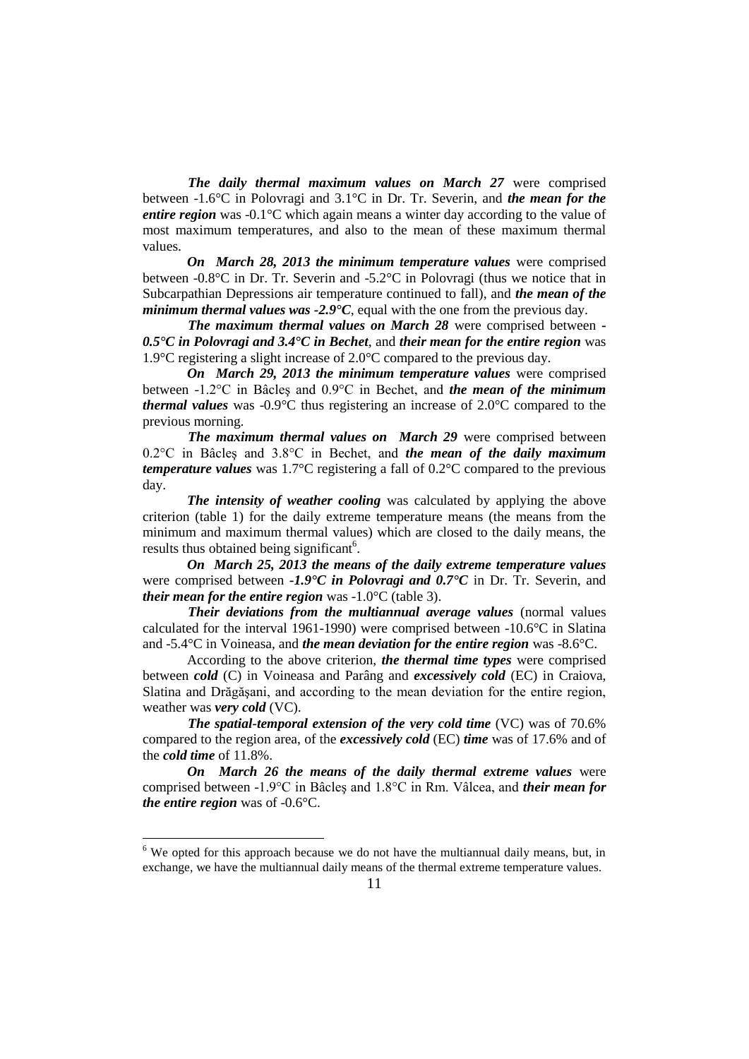*The daily thermal maximum values on March 27* were comprised between -1.6°C in Polovragi and 3.1°C in Dr. Tr. Severin, and *the mean for the entire region* was -0.1°C which again means a winter day according to the value of most maximum temperatures, and also to the mean of these maximum thermal values.

*On March 28, 2013 the minimum temperature values* were comprised between -0.8°C in Dr. Tr. Severin and -5.2°C in Polovragi (thus we notice that in Subcarpathian Depressions air temperature continued to fall), and *the mean of the minimum thermal values was -2.9°C*, equal with the one from the previous day.

*The maximum thermal values on March 28* were comprised between *- 0.5°C in Polovragi and 3.4°C in Bechet*, and *their mean for the entire region* was 1.9°C registering a slight increase of 2.0°C compared to the previous day.

*On March 29, 2013 the minimum temperature values* were comprised between -1.2°C in Bâcleş and 0.9°C in Bechet, and *the mean of the minimum thermal values* was -0.9°C thus registering an increase of 2.0°C compared to the previous morning.

*The maximum thermal values on March 29* were comprised between 0.2°C in Bâcleş and 3.8°C in Bechet, and *the mean of the daily maximum temperature values* was 1.7°C registering a fall of 0.2°C compared to the previous day.

*The intensity of weather cooling* was calculated by applying the above criterion (table 1) for the daily extreme temperature means (the means from the minimum and maximum thermal values) which are closed to the daily means, the results thus obtained being significant<sup>6</sup>.

*On March 25, 2013 the means of the daily extreme temperature values*  were comprised between *-1.9°C in Polovragi and 0.7°C* in Dr. Tr. Severin, and *their mean for the entire region* was -1.0°C (table 3).

*Their deviations from the multiannual average values* (normal values calculated for the interval 1961-1990) were comprised between -10.6°C in Slatina and -5.4°C in Voineasa, and *the mean deviation for the entire region* was -8.6°C.

According to the above criterion, *the thermal time types* were comprised between *cold* (C) in Voineasa and Parâng and *excessively cold* (EC) in Craiova, Slatina and Drăgăşani, and according to the mean deviation for the entire region, weather was *very cold* (VC).

*The spatial-temporal extension of the very cold time (VC) was of 70.6%* compared to the region area, of the *excessively cold* (EC) *time* was of 17.6% and of the *cold time* of 11.8%.

*On March 26 the means of the daily thermal extreme values* were comprised between -1.9°C in Bâcleş and 1.8°C in Rm. Vâlcea, and *their mean for the entire region* was of -0.6°C.

 $6$  We opted for this approach because we do not have the multiannual daily means, but, in exchange, we have the multiannual daily means of the thermal extreme temperature values.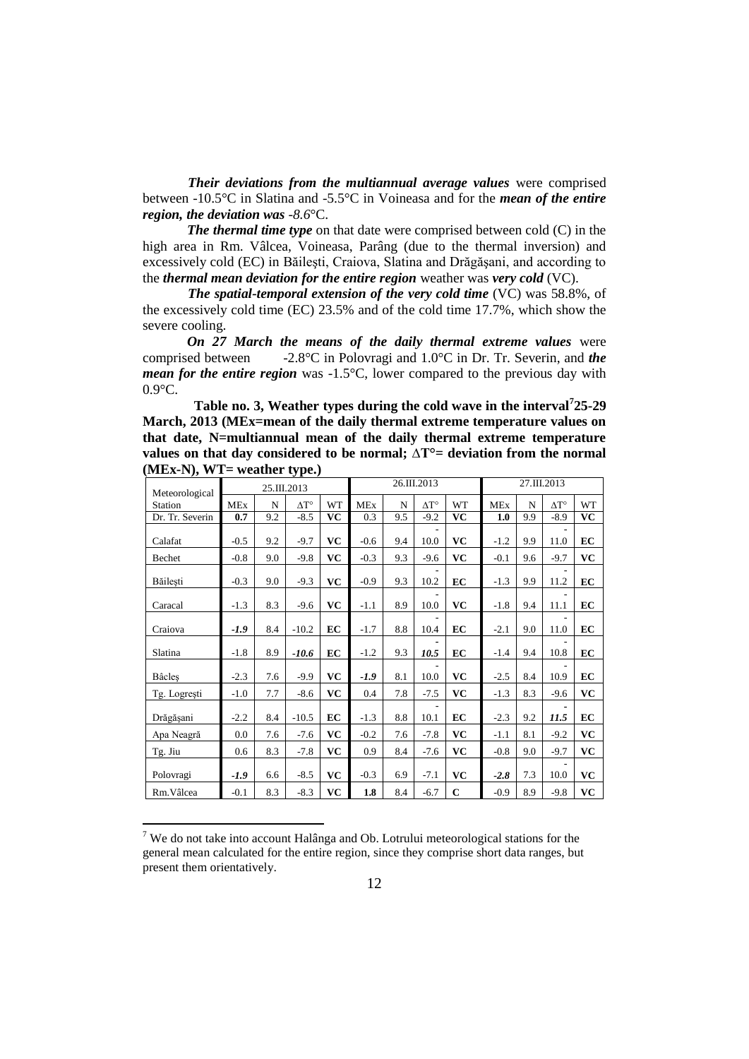*Their deviations from the multiannual average values* were comprised between -10.5°C in Slatina and -5.5°C in Voineasa and for the *mean of the entire region, the deviation was* -*8.6*°C.

*The thermal time type* on that date were comprised between cold (C) in the high area in Rm. Vâlcea, Voineasa, Parâng (due to the thermal inversion) and excessively cold (EC) in Băileşti, Craiova, Slatina and Drăgăşani, and according to the *thermal mean deviation for the entire region* weather was *very cold* (VC).

*The spatial-temporal extension of the very cold time* (VC) was 58.8%, of the excessively cold time (EC) 23.5% and of the cold time 17.7%, which show the severe cooling.

*On 27 March the means of the daily thermal extreme values* were comprised between -2.8°C in Polovragi and 1.0°C in Dr. Tr. Severin, and *the mean for the entire region* was -1.5°C, lower compared to the previous day with  $0.9$ °C.

 **Table no. 3, Weather types during the cold wave in the interval<sup>7</sup> 25-29 March, 2013 (MEx=mean of the daily thermal extreme temperature values on that date, N=multiannual mean of the daily thermal extreme temperature values on that day considered to be normal; ∆T°= deviation from the normal (MEx-N), WT= weather type.)**

| , ,<br>Meteorological | 25.III.2013 |     |                    |           |            |     | 26.III.2013        |             | 27.III.2013 |     |                    |           |
|-----------------------|-------------|-----|--------------------|-----------|------------|-----|--------------------|-------------|-------------|-----|--------------------|-----------|
| Station               | <b>MEx</b>  | N   | $\Delta T^{\circ}$ | <b>WT</b> | <b>MEx</b> | N   | $\Delta T^{\circ}$ | <b>WT</b>   | <b>MEx</b>  | N   | $\Delta T^{\circ}$ | <b>WT</b> |
| Dr. Tr. Severin       | 0.7         | 9.2 | $-8.5$             | <b>VC</b> | 0.3        | 9.5 | $-9.2$             | VC          | 1.0         | 9.9 | $-8.9$             | VC        |
| Calafat               | $-0.5$      | 9.2 | $-9.7$             | <b>VC</b> | $-0.6$     | 9.4 | 10.0               | VC          | $-1.2$      | 9.9 | 11.0               | EC        |
| Bechet                | $-0.8$      | 9.0 | $-9.8$             | <b>VC</b> | $-0.3$     | 9.3 | $-9.6$             | <b>VC</b>   | $-0.1$      | 9.6 | $-9.7$             | <b>VC</b> |
| Băilești              | $-0.3$      | 9.0 | $-9.3$             | <b>VC</b> | $-0.9$     | 9.3 | 10.2               | EC          | $-1.3$      | 9.9 | 11.2               | EC        |
| Caracal               | $-1.3$      | 8.3 | $-9.6$             | <b>VC</b> | $-1.1$     | 8.9 | 10.0               | <b>VC</b>   | $-1.8$      | 9.4 | 11.1               | EC        |
| Craiova               | $-1.9$      | 8.4 | $-10.2$            | EC        | $-1.7$     | 8.8 | 10.4               | EC          | $-2.1$      | 9.0 | 11.0               | EC        |
| Slatina               | $-1.8$      | 8.9 | $-10.6$            | EC        | $-1.2$     | 9.3 | 10.5               | EC          | $-1.4$      | 9.4 | 10.8               | EC        |
| <b>Bâcles</b>         | $-2.3$      | 7.6 | $-9.9$             | <b>VC</b> | $-1.9$     | 8.1 | 10.0               | <b>VC</b>   | $-2.5$      | 8.4 | 10.9               | EC        |
| Tg. Logrești          | $-1.0$      | 7.7 | $-8.6$             | <b>VC</b> | 0.4        | 7.8 | $-7.5$             | <b>VC</b>   | $-1.3$      | 8.3 | $-9.6$             | <b>VC</b> |
| Drăgășani             | $-2.2$      | 8.4 | $-10.5$            | EC        | $-1.3$     | 8.8 | 10.1               | EC          | $-2.3$      | 9.2 | 11.5               | EC        |
| Apa Neagră            | 0.0         | 7.6 | $-7.6$             | <b>VC</b> | $-0.2$     | 7.6 | $-7.8$             | <b>VC</b>   | $-1.1$      | 8.1 | $-9.2$             | VC        |
| Tg. Jiu               | 0.6         | 8.3 | $-7.8$             | VC        | 0.9        | 8.4 | $-7.6$             | VC          | $-0.8$      | 9.0 | $-9.7$             | VC        |
| Polovragi             | $-1.9$      | 6.6 | $-8.5$             | <b>VC</b> | $-0.3$     | 6.9 | $-7.1$             | <b>VC</b>   | $-2.8$      | 7.3 | 10.0               | <b>VC</b> |
| Rm. Vâlcea            | $-0.1$      | 8.3 | $-8.3$             | <b>VC</b> | 1.8        | 8.4 | $-6.7$             | $\mathbf C$ | $-0.9$      | 8.9 | $-9.8$             | VC        |

 $7$  We do not take into account Halânga and Ob. Lotrului meteorological stations for the general mean calculated for the entire region, since they comprise short data ranges, but present them orientatively.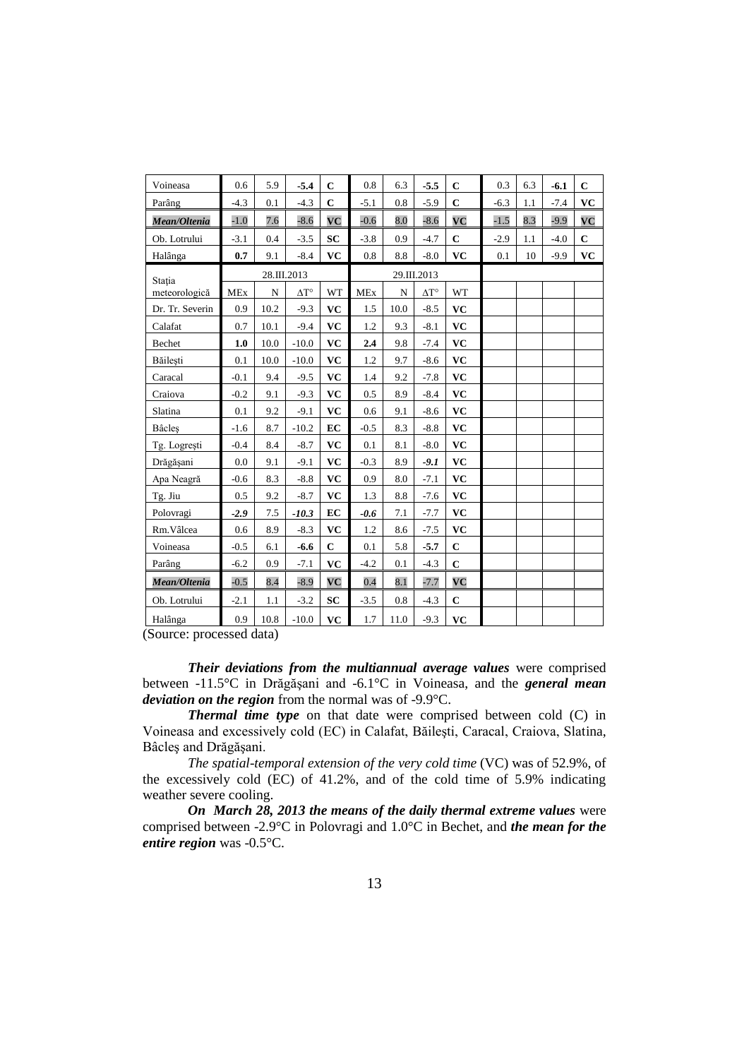| Voineasa        | 0.6         | 5.9         | $-5.4$             | $\mathbf C$                | 0.8        | 6.3         | $-5.5$             | $\mathbf C$          | 0.3    | 6.3 | $-6.1$ | $\mathbf C$            |
|-----------------|-------------|-------------|--------------------|----------------------------|------------|-------------|--------------------|----------------------|--------|-----|--------|------------------------|
| Parâng          | $-4.3$      | 0.1         | $-4.3$             | $\mathbf C$                | $-5.1$     | 0.8         | $-5.9$             | $\mathbf C$          | $-6.3$ | 1.1 | $-7.4$ | <b>VC</b>              |
| Mean/Oltenia    | $-1.0$      | 7.6         | $-8.6$             | <b>VC</b>                  | $-0.6$     | 8.0         | $-8.6$             | $\bf VC$             | $-1.5$ | 8.3 | $-9.9$ | $\mathbf{V}\mathbf{C}$ |
| Ob. Lotrului    | $-3.1$      | 0.4         | $-3.5$             | <b>SC</b>                  | $-3.8$     | 0.9         | $-4.7$             | $\mathbf C$          | $-2.9$ | 1.1 | $-4.0$ | $\mathbf C$            |
| Halânga         | 0.7         | 9.1         | $-8.4$             | <b>VC</b>                  | 0.8        | 8.8         | $-8.0$             | <b>VC</b>            | 0.1    | 10  | $-9.9$ | <b>VC</b>              |
| Stația          | 28.III.2013 |             |                    |                            |            |             | 29.III.2013        |                      |        |     |        |                        |
| meteorologică   | <b>MEx</b>  | $\mathbf N$ | $\Delta T^{\circ}$ | <b>WT</b>                  | <b>MEx</b> | $\mathbf N$ | $\Delta T^{\circ}$ | <b>WT</b>            |        |     |        |                        |
| Dr. Tr. Severin | 0.9         | 10.2        | $-9.3$             | <b>VC</b>                  | 1.5        | 10.0        | $-8.5$             | <b>VC</b>            |        |     |        |                        |
| Calafat         | 0.7         | 10.1        | $-9.4$             | <b>VC</b>                  | 1.2        | 9.3         | $-8.1$             | <b>VC</b>            |        |     |        |                        |
| Bechet          | 1.0         | 10.0        | $-10.0$            | <b>VC</b>                  | 2.4        | 9.8         | $-7.4$             | <b>VC</b>            |        |     |        |                        |
| Băilesti        | 0.1         | 10.0        | $-10.0$            | <b>VC</b>                  | 1.2        | 9.7         | $-8.6$             | <b>VC</b>            |        |     |        |                        |
| Caracal         | $-0.1$      | 9.4         | $-9.5$             | <b>VC</b>                  | 1.4        | 9.2         | $-7.8$             | <b>VC</b>            |        |     |        |                        |
| Craiova         | $-0.2$      | 9.1         | $-9.3$             | <b>VC</b>                  | 0.5        | 8.9         | $-8.4$             | <b>VC</b>            |        |     |        |                        |
| Slatina         | 0.1         | 9.2         | $-9.1$             | <b>VC</b>                  | 0.6        | 9.1         | $-8.6$             | <b>VC</b>            |        |     |        |                        |
| <b>Bâcles</b>   | $-1.6$      | 8.7         | $-10.2$            | EC                         | $-0.5$     | 8.3         | $-8.8$             | <b>VC</b>            |        |     |        |                        |
| Tg. Logrești    | $-0.4$      | 8.4         | $-8.7$             | <b>VC</b>                  | 0.1        | 8.1         | $-8.0$             | <b>VC</b>            |        |     |        |                        |
| Drăgăsani       | 0.0         | 9.1         | $-9.1$             | <b>VC</b>                  | $-0.3$     | 8.9         | $-9.1$             | <b>VC</b>            |        |     |        |                        |
| Apa Neagră      | $-0.6$      | 8.3         | $-8.8$             | <b>VC</b>                  | 0.9        | 8.0         | $-7.1$             | <b>VC</b>            |        |     |        |                        |
| Tg. Jiu         | 0.5         | 9.2         | $-8.7$             | <b>VC</b>                  | 1.3        | 8.8         | $-7.6$             | <b>VC</b>            |        |     |        |                        |
| Polovragi       | $-2.9$      | 7.5         | $-10.3$            | EC                         | $-0.6$     | 7.1         | $-7.7$             | <b>VC</b>            |        |     |        |                        |
| Rm. Vâlcea      | 0.6         | 8.9         | $-8.3$             | <b>VC</b>                  | 1.2        | 8.6         | $-7.5$             | <b>VC</b>            |        |     |        |                        |
| Voineasa        | $-0.5$      | 6.1         | $-6.6$             | $\mathbf C$                | 0.1        | 5.8         | $-5.7$             | $\mathbf C$          |        |     |        |                        |
| Parâng          | $-6.2$      | 0.9         | $-7.1$             | <b>VC</b>                  | $-4.2$     | 0.1         | $-4.3$             | $\bf C$              |        |     |        |                        |
| Mean/Oltenia    | $-0.5$      | 8.4         | $-8.9$             | $\overline{\bf V} {\bf C}$ | 0.4        | 8.1         | $-7.7$             | $\overline{\bf v}$ C |        |     |        |                        |
| Ob. Lotrului    | $-2.1$      | 1.1         | $-3.2$             | <b>SC</b>                  | $-3.5$     | 0.8         | $-4.3$             | $\mathbf C$          |        |     |        |                        |
| Halânga         | 0.9         | 10.8        | $-10.0$            | <b>VC</b>                  | 1.7        | 11.0        | $-9.3$             | VC                   |        |     |        |                        |

(Source: processed data)

*Their deviations from the multiannual average values* were comprised between -11.5°C in Drăgăşani and -6.1°C in Voineasa, and the *general mean deviation on the region* from the normal was of -9.9°C.

*Thermal time type* on that date were comprised between cold (C) in Voineasa and excessively cold (EC) in Calafat, Băileşti, Caracal, Craiova, Slatina, Bâcleş and Drăgăşani.

*The spatial-temporal extension of the very cold time* (VC) was of 52.9%, of the excessively cold (EC) of 41.2%, and of the cold time of 5.9% indicating weather severe cooling.

*On March 28, 2013 the means of the daily thermal extreme values* were comprised between -2.9°C in Polovragi and 1.0°C in Bechet, and *the mean for the entire region* was -0.5°C.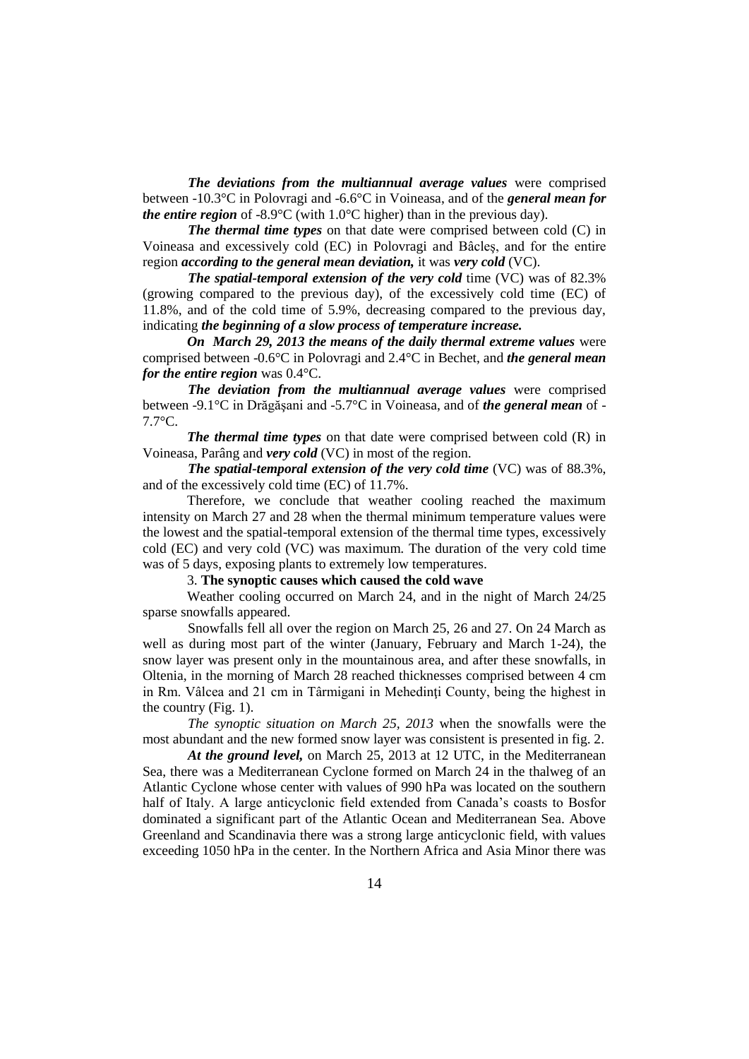*The deviations from the multiannual average values* were comprised between -10.3°C in Polovragi and -6.6°C in Voineasa, and of the *general mean for the entire region* of -8.9°C (with 1.0°C higher) than in the previous day).

*The thermal time types* on that date were comprised between cold (C) in Voineasa and excessively cold (EC) in Polovragi and Bâcleş, and for the entire region *according to the general mean deviation,* it was *very cold* (VC).

*The spatial-temporal extension of the very cold* time (VC) was of 82.3% (growing compared to the previous day), of the excessively cold time (EC) of 11.8%, and of the cold time of 5.9%, decreasing compared to the previous day, indicating *the beginning of a slow process of temperature increase.*

*On March 29, 2013 the means of the daily thermal extreme values* were comprised between -0.6°C in Polovragi and 2.4°C in Bechet, and *the general mean for the entire region* was 0.4°C.

*The deviation from the multiannual average values* were comprised between -9.1°C in Drăgăşani and -5.7°C in Voineasa, and of *the general mean* of - 7.7°C.

*The thermal time types* on that date were comprised between cold (R) in Voineasa, Parâng and *very cold* (VC) in most of the region.

*The spatial-temporal extension of the very cold time (VC) was of 88.3%,* and of the excessively cold time (EC) of 11.7%.

Therefore, we conclude that weather cooling reached the maximum intensity on March 27 and 28 when the thermal minimum temperature values were the lowest and the spatial-temporal extension of the thermal time types, excessively cold (EC) and very cold (VC) was maximum. The duration of the very cold time was of 5 days, exposing plants to extremely low temperatures.

#### 3. **The synoptic causes which caused the cold wave**

Weather cooling occurred on March 24, and in the night of March 24/25 sparse snowfalls appeared.

Snowfalls fell all over the region on March 25, 26 and 27. On 24 March as well as during most part of the winter (January, February and March 1-24), the snow layer was present only in the mountainous area, and after these snowfalls, in Oltenia, in the morning of March 28 reached thicknesses comprised between 4 cm in Rm. Vâlcea and 21 cm in Târmigani in Mehedinţi County, being the highest in the country (Fig. 1).

*The synoptic situation on March 25, 2013* when the snowfalls were the most abundant and the new formed snow layer was consistent is presented in fig. 2.

*At the ground level,* on March 25, 2013 at 12 UTC, in the Mediterranean Sea, there was a Mediterranean Cyclone formed on March 24 in the thalweg of an Atlantic Cyclone whose center with values of 990 hPa was located on the southern half of Italy. A large anticyclonic field extended from Canada's coasts to Bosfor dominated a significant part of the Atlantic Ocean and Mediterranean Sea. Above Greenland and Scandinavia there was a strong large anticyclonic field, with values exceeding 1050 hPa in the center. In the Northern Africa and Asia Minor there was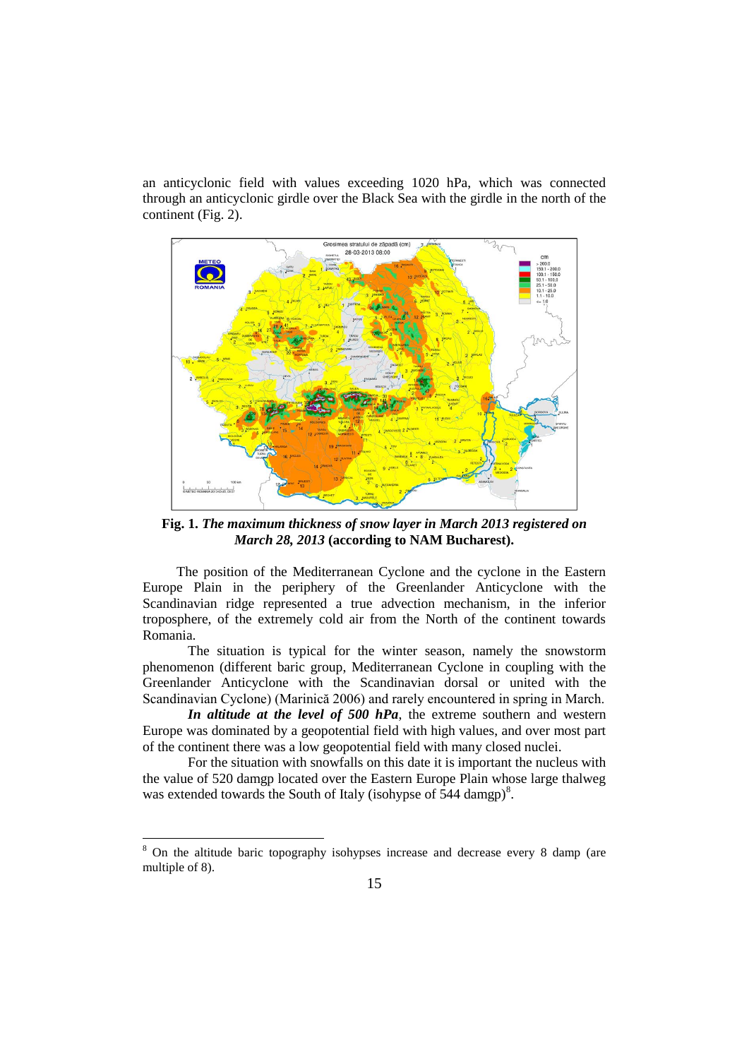an anticyclonic field with values exceeding 1020 hPa, which was connected through an anticyclonic girdle over the Black Sea with the girdle in the north of the continent (Fig. 2).



**Fig. 1.** *The maximum thickness of snow layer in March 2013 registered on March 28, 2013* **(according to NAM Bucharest).**

The position of the Mediterranean Cyclone and the cyclone in the Eastern Europe Plain in the periphery of the Greenlander Anticyclone with the Scandinavian ridge represented a true advection mechanism, in the inferior troposphere, of the extremely cold air from the North of the continent towards Romania.

The situation is typical for the winter season, namely the snowstorm phenomenon (different baric group, Mediterranean Cyclone in coupling with the Greenlander Anticyclone with the Scandinavian dorsal or united with the Scandinavian Cyclone) (Marinică 2006) and rarely encountered in spring in March.

*In altitude at the level of 500 hPa*, the extreme southern and western Europe was dominated by a geopotential field with high values, and over most part of the continent there was a low geopotential field with many closed nuclei.

For the situation with snowfalls on this date it is important the nucleus with the value of 520 damgp located over the Eastern Europe Plain whose large thalweg was extended towards the South of Italy (isohypse of  $\overline{5}44$  damgp)<sup>8</sup>.

<sup>8</sup> On the altitude baric topography isohypses increase and decrease every 8 damp (are multiple of 8).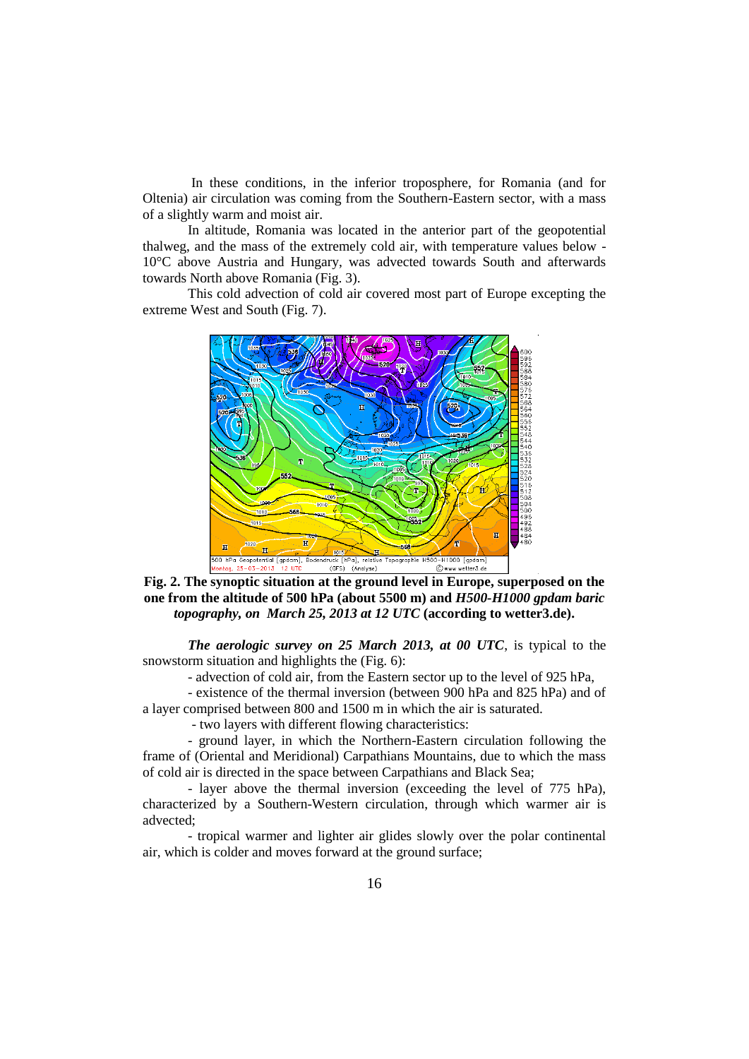In these conditions, in the inferior troposphere, for Romania (and for Oltenia) air circulation was coming from the Southern-Eastern sector, with a mass of a slightly warm and moist air.

In altitude, Romania was located in the anterior part of the geopotential thalweg, and the mass of the extremely cold air, with temperature values below - 10°C above Austria and Hungary, was advected towards South and afterwards towards North above Romania (Fig. 3).

This cold advection of cold air covered most part of Europe excepting the extreme West and South (Fig. 7).



**Fig. 2. The synoptic situation at the ground level in Europe, superposed on the one from the altitude of 500 hPa (about 5500 m) and** *H500-H1000 gpdam baric topography, on March 25, 2013 at 12 UTC* **(according to wetter3.de).**

*The aerologic survey on 25 March 2013, at 00 UTC*, is typical to the snowstorm situation and highlights the (Fig. 6):

- advection of cold air, from the Eastern sector up to the level of 925 hPa,

- existence of the thermal inversion (between 900 hPa and 825 hPa) and of a layer comprised between 800 and 1500 m in which the air is saturated.

- two layers with different flowing characteristics:

- ground layer, in which the Northern-Eastern circulation following the frame of (Oriental and Meridional) Carpathians Mountains, due to which the mass of cold air is directed in the space between Carpathians and Black Sea;

- layer above the thermal inversion (exceeding the level of 775 hPa), characterized by a Southern-Western circulation, through which warmer air is advected;

- tropical warmer and lighter air glides slowly over the polar continental air, which is colder and moves forward at the ground surface;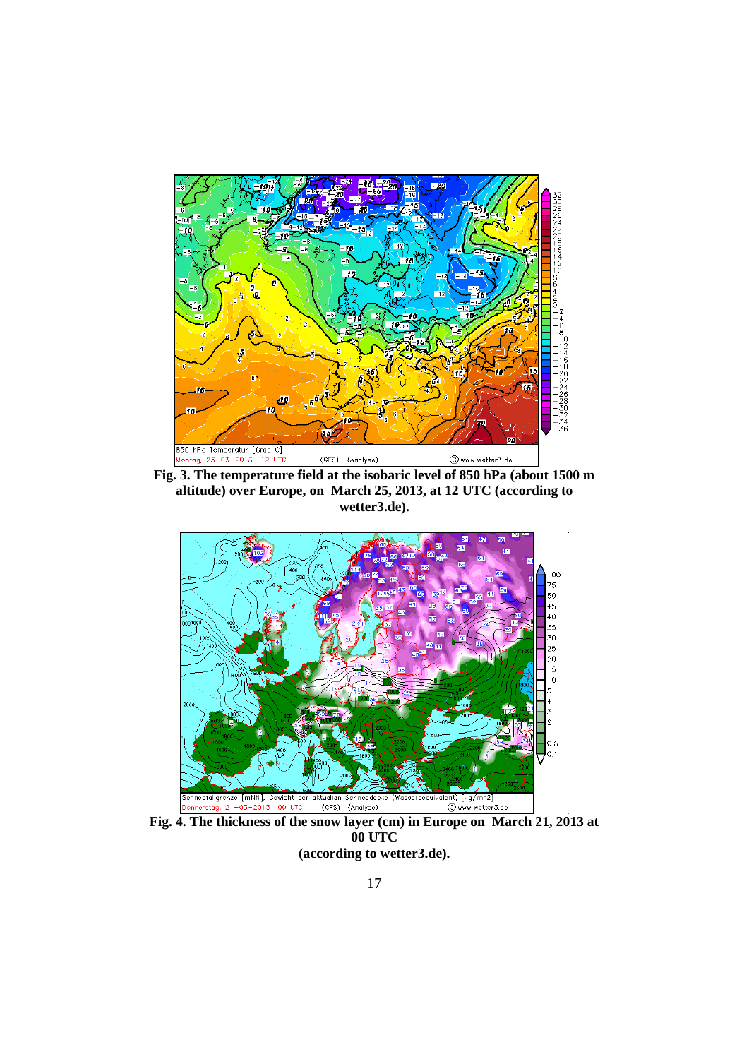

**Fig. 3. The temperature field at the isobaric level of 850 hPa (about 1500 m altitude) over Europe, on March 25, 2013, at 12 UTC (according to wetter3.de).**



**Fig. 4. The thickness of the snow layer (cm) in Europe on March 21, 2013 at 00 UTC (according to wetter3.de).**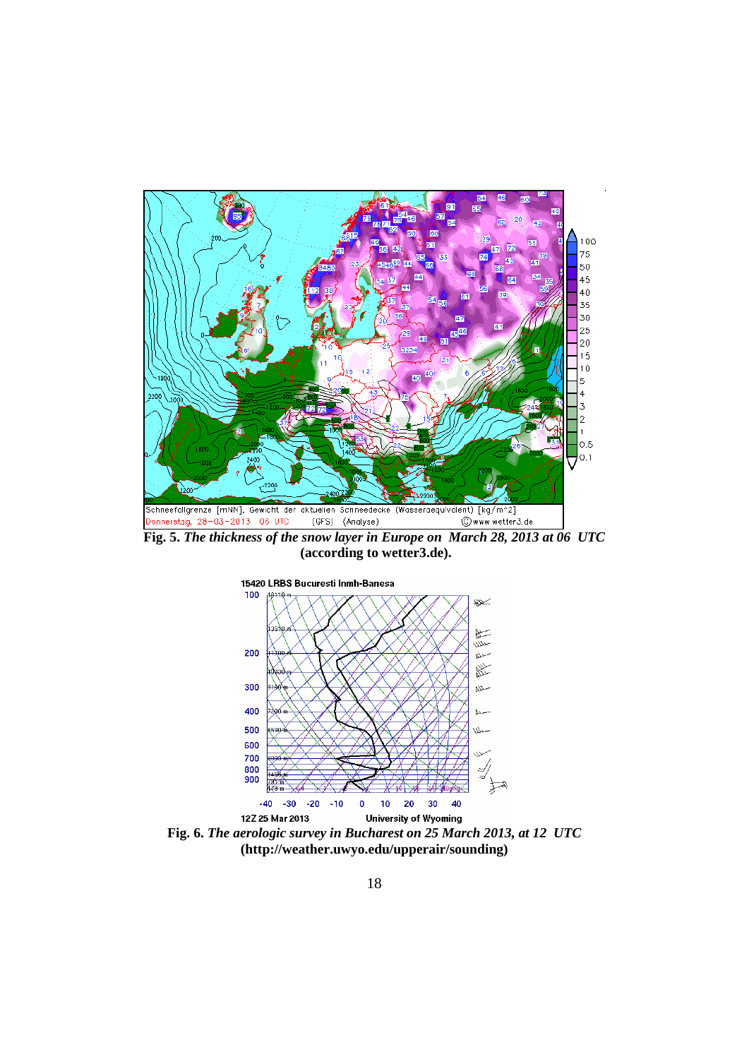

**Fig. 5.** *The thickness of the snow layer in Europe on March 28, 2013 at 06 UTC* **(according to wetter3.de).**



**(http://weather.uwyo.edu/upperair/sounding)**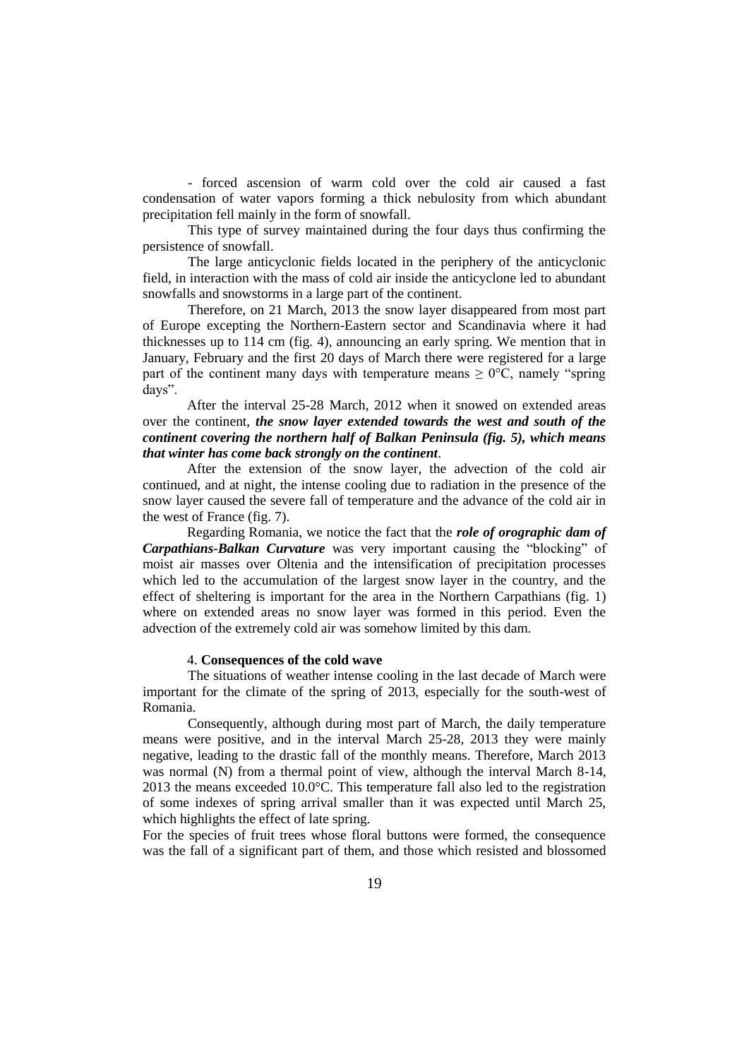- forced ascension of warm cold over the cold air caused a fast condensation of water vapors forming a thick nebulosity from which abundant precipitation fell mainly in the form of snowfall.

This type of survey maintained during the four days thus confirming the persistence of snowfall.

The large anticyclonic fields located in the periphery of the anticyclonic field, in interaction with the mass of cold air inside the anticyclone led to abundant snowfalls and snowstorms in a large part of the continent.

Therefore, on 21 March, 2013 the snow layer disappeared from most part of Europe excepting the Northern-Eastern sector and Scandinavia where it had thicknesses up to 114 cm (fig. 4), announcing an early spring. We mention that in January, February and the first 20 days of March there were registered for a large part of the continent many days with temperature means  $\geq 0^{\circ}$ C, namely "spring days".

After the interval 25-28 March, 2012 when it snowed on extended areas over the continent, *the snow layer extended towards the west and south of the continent covering the northern half of Balkan Peninsula (fig. 5), which means that winter has come back strongly on the continent*.

After the extension of the snow layer, the advection of the cold air continued, and at night, the intense cooling due to radiation in the presence of the snow layer caused the severe fall of temperature and the advance of the cold air in the west of France (fig. 7).

Regarding Romania, we notice the fact that the *role of orographic dam of Carpathians-Balkan Curvature* was very important causing the "blocking" of moist air masses over Oltenia and the intensification of precipitation processes which led to the accumulation of the largest snow layer in the country, and the effect of sheltering is important for the area in the Northern Carpathians (fig. 1) where on extended areas no snow layer was formed in this period. Even the advection of the extremely cold air was somehow limited by this dam.

#### 4. **Consequences of the cold wave**

The situations of weather intense cooling in the last decade of March were important for the climate of the spring of 2013, especially for the south-west of Romania.

Consequently, although during most part of March, the daily temperature means were positive, and in the interval March 25-28, 2013 they were mainly negative, leading to the drastic fall of the monthly means. Therefore, March 2013 was normal (N) from a thermal point of view, although the interval March 8-14, 2013 the means exceeded 10.0°C. This temperature fall also led to the registration of some indexes of spring arrival smaller than it was expected until March 25, which highlights the effect of late spring.

For the species of fruit trees whose floral buttons were formed, the consequence was the fall of a significant part of them, and those which resisted and blossomed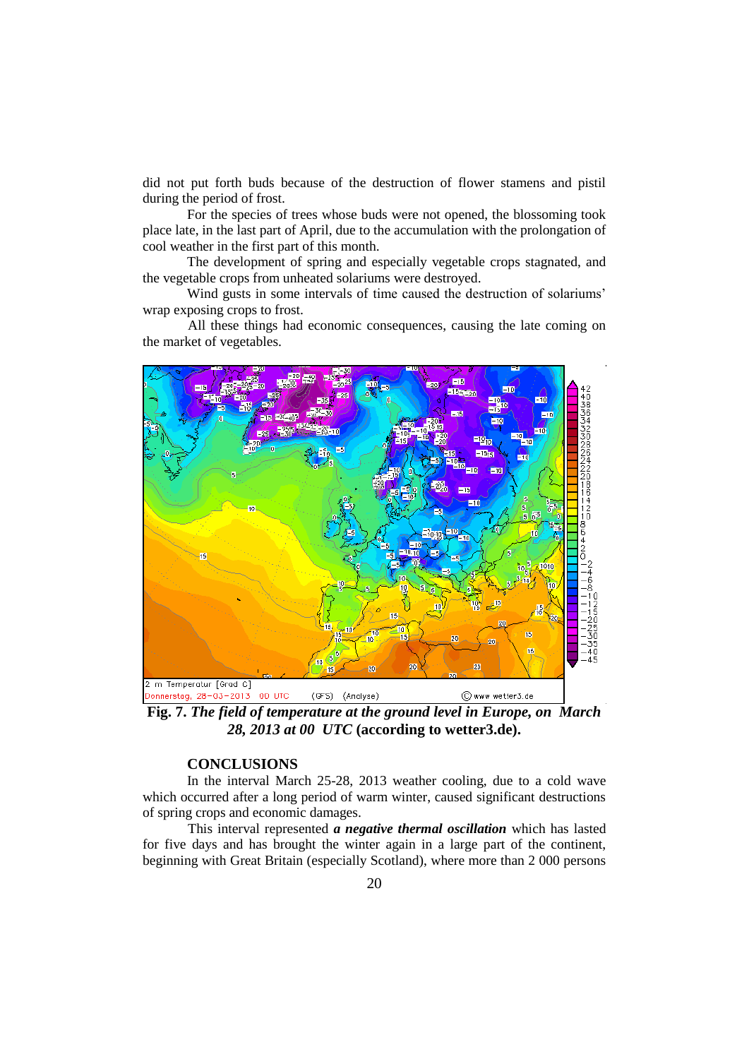did not put forth buds because of the destruction of flower stamens and pistil during the period of frost.

For the species of trees whose buds were not opened, the blossoming took place late, in the last part of April, due to the accumulation with the prolongation of cool weather in the first part of this month.

The development of spring and especially vegetable crops stagnated, and the vegetable crops from unheated solariums were destroyed.

Wind gusts in some intervals of time caused the destruction of solariums' wrap exposing crops to frost.

All these things had economic consequences, causing the late coming on the market of vegetables.



**Fig. 7.** *The field of temperature at the ground level in Europe, on March 28, 2013 at 00 UTC* **(according to wetter3.de).**

## **CONCLUSIONS**

In the interval March 25-28, 2013 weather cooling, due to a cold wave which occurred after a long period of warm winter, caused significant destructions of spring crops and economic damages.

This interval represented *a negative thermal oscillation* which has lasted for five days and has brought the winter again in a large part of the continent, beginning with Great Britain (especially Scotland), where more than 2 000 persons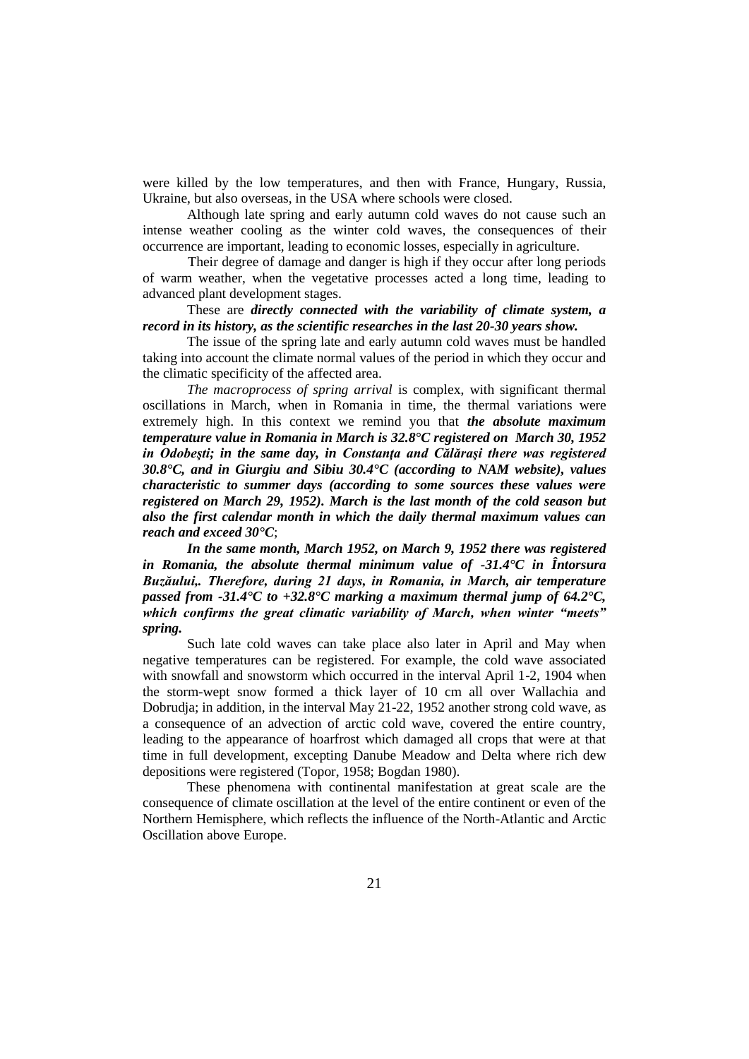were killed by the low temperatures, and then with France, Hungary, Russia, Ukraine, but also overseas, in the USA where schools were closed.

Although late spring and early autumn cold waves do not cause such an intense weather cooling as the winter cold waves, the consequences of their occurrence are important, leading to economic losses, especially in agriculture.

Their degree of damage and danger is high if they occur after long periods of warm weather, when the vegetative processes acted a long time, leading to advanced plant development stages.

### These are *directly connected with the variability of climate system, a record in its history, as the scientific researches in the last 20-30 years show.*

The issue of the spring late and early autumn cold waves must be handled taking into account the climate normal values of the period in which they occur and the climatic specificity of the affected area.

*The macroprocess of spring arrival* is complex, with significant thermal oscillations in March, when in Romania in time, the thermal variations were extremely high. In this context we remind you that *the absolute maximum temperature value in Romania in March is 32.8°C registered on March 30, 1952 in Odobeşti; in the same day, in Constanţa and Călăraşi there was registered 30.8°C, and in Giurgiu and Sibiu 30.4°C (according to NAM website), values characteristic to summer days (according to some sources these values were registered on March 29, 1952). March is the last month of the cold season but also the first calendar month in which the daily thermal maximum values can reach and exceed 30°C*;

*In the same month, March 1952, on March 9, 1952 there was registered in Romania, the absolute thermal minimum value of -31.4°C in Întorsura Buzăului,. Therefore, during 21 days, in Romania, in March, air temperature passed from -31.4°C to +32.8°C marking a maximum thermal jump of 64.2°C, which confirms the great climatic variability of March, when winter "meets" spring.* 

Such late cold waves can take place also later in April and May when negative temperatures can be registered. For example, the cold wave associated with snowfall and snowstorm which occurred in the interval April 1-2, 1904 when the storm-wept snow formed a thick layer of 10 cm all over Wallachia and Dobrudja; in addition, in the interval May 21-22, 1952 another strong cold wave, as a consequence of an advection of arctic cold wave, covered the entire country, leading to the appearance of hoarfrost which damaged all crops that were at that time in full development, excepting Danube Meadow and Delta where rich dew depositions were registered (Topor, 1958; Bogdan 1980).

These phenomena with continental manifestation at great scale are the consequence of climate oscillation at the level of the entire continent or even of the Northern Hemisphere, which reflects the influence of the North-Atlantic and Arctic Oscillation above Europe.